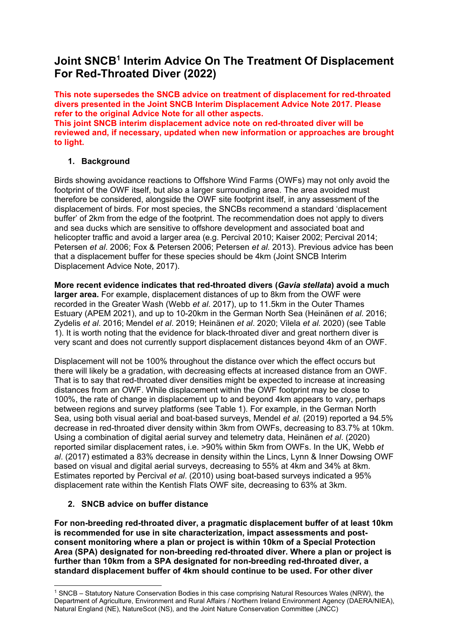# **Joint SNCB1 Interim Advice On The Treatment Of Displacement For Red-Throated Diver (2022)**

**This note supersedes the SNCB advice on treatment of displacement for red-throated divers presented in the Joint SNCB Interim Displacement Advice Note 2017. Please refer to the original Advice Note for all other aspects. This joint SNCB interim displacement advice note on red-throated diver will be reviewed and, if necessary, updated when new information or approaches are brought to light.**

## **1. Background**

Birds showing avoidance reactions to Offshore Wind Farms (OWFs) may not only avoid the footprint of the OWF itself, but also a larger surrounding area. The area avoided must therefore be considered, alongside the OWF site footprint itself, in any assessment of the displacement of birds. For most species, the SNCBs recommend a standard 'displacement buffer' of 2km from the edge of the footprint. The recommendation does not apply to divers and sea ducks which are sensitive to offshore development and associated boat and helicopter traffic and avoid a larger area (e.g. Percival 2010; Kaiser 2002; Percival 2014; Petersen *et al*. 2006; Fox & Petersen 2006; Petersen *et al.* 2013). Previous advice has been that a displacement buffer for these species should be 4km (Joint SNCB Interim Displacement Advice Note, 2017).

**More recent evidence indicates that red-throated divers (***Gavia stellata***) avoid a much larger area.** For example, displacement distances of up to 8km from the OWF were recorded in the Greater Wash (Webb *et al*. 2017), up to 11.5km in the Outer Thames Estuary (APEM 2021), and up to 10-20km in the German North Sea (Heinänen *et al*. 2016; Zydelis *et al*. 2016; Mendel *et al*. 2019; Heinänen *et al*. 2020; Vilela *et al.* 2020) (see Table 1). It is worth noting that the evidence for black-throated diver and great northern diver is very scant and does not currently support displacement distances beyond 4km of an OWF.

Displacement will not be 100% throughout the distance over which the effect occurs but there will likely be a gradation, with decreasing effects at increased distance from an OWF. That is to say that red-throated diver densities might be expected to increase at increasing distances from an OWF. While displacement within the OWF footprint may be close to 100%, the rate of change in displacement up to and beyond 4km appears to vary, perhaps between regions and survey platforms (see Table 1). For example, in the German North Sea, using both visual aerial and boat-based surveys, Mendel *et al*. (2019) reported a 94.5% decrease in red-throated diver density within 3km from OWFs, decreasing to 83.7% at 10km. Using a combination of digital aerial survey and telemetry data, Heinänen *et al*. (2020) reported similar displacement rates, i.e. >90% within 5km from OWFs. In the UK, Webb *et al*. (2017) estimated a 83% decrease in density within the Lincs, Lynn & Inner Dowsing OWF based on visual and digital aerial surveys, decreasing to 55% at 4km and 34% at 8km. Estimates reported by Percival *et al*. (2010) using boat-based surveys indicated a 95% displacement rate within the Kentish Flats OWF site, decreasing to 63% at 3km.

# **2. SNCB advice on buffer distance**

**For non-breeding red-throated diver, a pragmatic displacement buffer of at least 10km is recommended for use in site characterization, impact assessments and postconsent monitoring where a plan or project is within 10km of a Special Protection Area (SPA) designated for non-breeding red-throated diver. Where a plan or project is further than 10km from a SPA designated for non-breeding red-throated diver, a standard displacement buffer of 4km should continue to be used. For other diver** 

<sup>1</sup> SNCB – Statutory Nature Conservation Bodies in this case comprising Natural Resources Wales (NRW), the Department of Agriculture, Environment and Rural Affairs / Northern Ireland Environment Agency (DAERA/NIEA), Natural England (NE), NatureScot (NS), and the Joint Nature Conservation Committee (JNCC)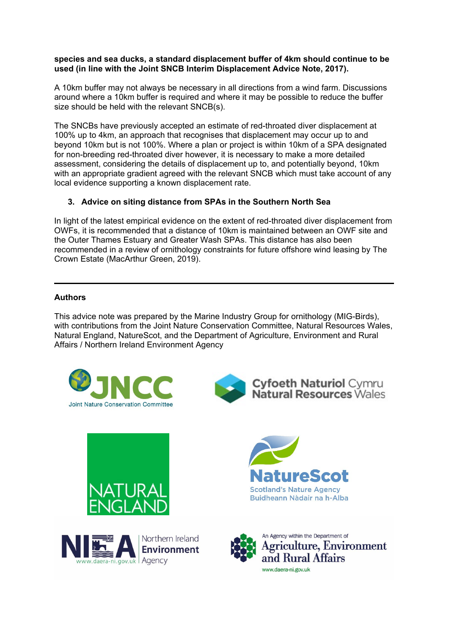#### **species and sea ducks, a standard displacement buffer of 4km should continue to be used (in line with the Joint SNCB Interim Displacement Advice Note, 2017).**

A 10km buffer may not always be necessary in all directions from a wind farm. Discussions around where a 10km buffer is required and where it may be possible to reduce the buffer size should be held with the relevant SNCB(s).

The SNCBs have previously accepted an estimate of red-throated diver displacement at 100% up to 4km, an approach that recognises that displacement may occur up to and beyond 10km but is not 100%. Where a plan or project is within 10km of a SPA designated for non-breeding red-throated diver however, it is necessary to make a more detailed assessment, considering the details of displacement up to, and potentially beyond, 10km with an appropriate gradient agreed with the relevant SNCB which must take account of any local evidence supporting a known displacement rate.

# **3. Advice on siting distance from SPAs in the Southern North Sea**

In light of the latest empirical evidence on the extent of red-throated diver displacement from OWFs, it is recommended that a distance of 10km is maintained between an OWF site and the Outer Thames Estuary and Greater Wash SPAs. This distance has also been recommended in a review of ornithology constraints for future offshore wind leasing by The Crown Estate (MacArthur Green, 2019).

## **Authors**

This advice note was prepared by the Marine Industry Group for ornithology (MIG-Birds), with contributions from the Joint Nature Conservation Committee, Natural Resources Wales, Natural England, NatureScot, and the Department of Agriculture, Environment and Rural Affairs / Northern Ireland Environment Agency











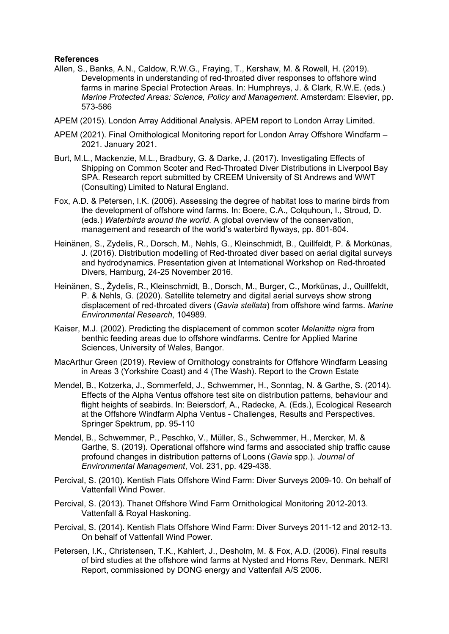#### **References**

- Allen, S., Banks, A.N., Caldow, R.W.G., Fraying, T., Kershaw, M. & Rowell, H. (2019). Developments in understanding of red-throated diver responses to offshore wind farms in marine Special Protection Areas. In: Humphreys, J. & Clark, R.W.E. (eds.) *Marine Protected Areas: Science, Policy and Management*. Amsterdam: Elsevier, pp. 573-586
- APEM (2015). London Array Additional Analysis. APEM report to London Array Limited.
- APEM (2021). Final Ornithological Monitoring report for London Array Offshore Windfarm 2021. January 2021.
- Burt, M.L., Mackenzie, M.L., Bradbury, G. & Darke, J. (2017). Investigating Effects of Shipping on Common Scoter and Red-Throated Diver Distributions in Liverpool Bay SPA. Research report submitted by CREEM University of St Andrews and WWT (Consulting) Limited to Natural England.
- Fox, A.D. & Petersen, I.K. (2006). Assessing the degree of habitat loss to marine birds from the development of offshore wind farms. In: Boere, C.A., Colquhoun, I., Stroud, D. (eds*.*) *Waterbirds around the world*. A global overview of the conservation, management and research of the world's waterbird flyways, pp. 801-804.
- Heinänen, S., Zydelis, R., Dorsch, M., Nehls, G., Kleinschmidt, B., Quillfeldt, P. & Morkūnas, J. (2016). Distribution modelling of Red-throated diver based on aerial digital surveys and hydrodynamics. Presentation given at International Workshop on Red-throated Divers, Hamburg, 24-25 November 2016.
- Heinänen, S., Žydelis, R., Kleinschmidt, B., Dorsch, M., Burger, C., Morkūnas, J., Quillfeldt, P. & Nehls, G. (2020). Satellite telemetry and digital aerial surveys show strong displacement of red-throated divers (*Gavia stellata*) from offshore wind farms. *Marine Environmental Research*, 104989.
- Kaiser, M.J. (2002). Predicting the displacement of common scoter *Melanitta nigra* from benthic feeding areas due to offshore windfarms. Centre for Applied Marine Sciences, University of Wales, Bangor.
- MacArthur Green (2019). Review of Ornithology constraints for Offshore Windfarm Leasing in Areas 3 (Yorkshire Coast) and 4 (The Wash). Report to the Crown Estate
- Mendel, B., Kotzerka, J., Sommerfeld, J., Schwemmer, H., Sonntag, N. & Garthe, S. (2014). Effects of the Alpha Ventus offshore test site on distribution patterns, behaviour and flight heights of seabirds. In: Beiersdorf, A., Radecke, A. (Eds.), Ecological Research at the Offshore Windfarm Alpha Ventus - Challenges, Results and Perspectives. Springer Spektrum, pp. 95-110
- Mendel, B., Schwemmer, P., Peschko, V., Müller, S., Schwemmer, H., Mercker, M. & Garthe, S. (2019). Operational offshore wind farms and associated ship traffic cause profound changes in distribution patterns of Loons (*Gavia* spp.). *Journal of Environmental Management*, Vol. 231, pp. 429-438.
- Percival, S. (2010). Kentish Flats Offshore Wind Farm: Diver Surveys 2009-10. On behalf of Vattenfall Wind Power.
- Percival, S. (2013). Thanet Offshore Wind Farm Ornithological Monitoring 2012-2013. Vattenfall & Royal Haskoning.
- Percival, S. (2014). Kentish Flats Offshore Wind Farm: Diver Surveys 2011-12 and 2012-13. On behalf of Vattenfall Wind Power.
- Petersen, I.K., Christensen, T.K., Kahlert, J., Desholm, M. & Fox, A.D. (2006). Final results of bird studies at the offshore wind farms at Nysted and Horns Rev, Denmark. NERI Report, commissioned by DONG energy and Vattenfall A/S 2006.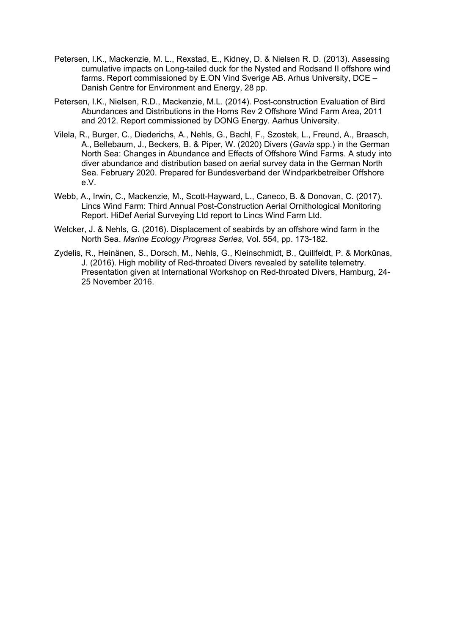- Petersen, I.K., Mackenzie, M. L., Rexstad, E., Kidney, D. & Nielsen R. D. (2013). Assessing cumulative impacts on Long-tailed duck for the Nysted and Rodsand II offshore wind farms. Report commissioned by E.ON Vind Sverige AB. Arhus University, DCE – Danish Centre for Environment and Energy, 28 pp.
- Petersen, I.K., Nielsen, R.D., Mackenzie, M.L. (2014). Post-construction Evaluation of Bird Abundances and Distributions in the Horns Rev 2 Offshore Wind Farm Area, 2011 and 2012. Report commissioned by DONG Energy. Aarhus University.
- Vilela, R., Burger, C., Diederichs, A., Nehls, G., Bachl, F., Szostek, L., Freund, A., Braasch, A., Bellebaum, J., Beckers, B. & Piper, W. (2020) Divers (*Gavia* spp.) in the German North Sea: Changes in Abundance and Effects of Offshore Wind Farms. A study into diver abundance and distribution based on aerial survey data in the German North Sea. February 2020. Prepared for Bundesverband der Windparkbetreiber Offshore e.V.
- Webb, A., Irwin, C., Mackenzie, M., Scott-Hayward, L., Caneco, B. & Donovan, C. (2017). Lincs Wind Farm: Third Annual Post-Construction Aerial Ornithological Monitoring Report. HiDef Aerial Surveying Ltd report to Lincs Wind Farm Ltd.
- Welcker, J. & Nehls, G. (2016). Displacement of seabirds by an offshore wind farm in the North Sea. *Marine Ecology Progress Series*, Vol. 554, pp. 173-182.
- Zydelis, R., Heinänen, S., Dorsch, M., Nehls, G., Kleinschmidt, B., Quillfeldt, P. & Morkūnas, J. (2016). High mobility of Red-throated Divers revealed by satellite telemetry. Presentation given at International Workshop on Red-throated Divers, Hamburg, 24- 25 November 2016.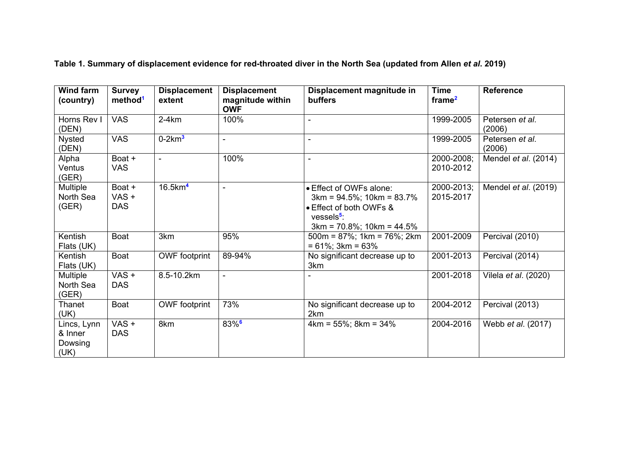**Table 1. Summary of displacement evidence for red-throated diver in the North Sea (updated from Allen** *et al***. 2019)** 

| <b>Wind farm</b><br>(country)             | <b>Survey</b><br>method <sup>1</sup> | <b>Displacement</b><br>extent | <b>Displacement</b><br>magnitude within<br><b>OWF</b> | Displacement magnitude in<br><b>buffers</b>                                                                                                    | <b>Time</b><br>frame <sup>2</sup> | <b>Reference</b>          |
|-------------------------------------------|--------------------------------------|-------------------------------|-------------------------------------------------------|------------------------------------------------------------------------------------------------------------------------------------------------|-----------------------------------|---------------------------|
| Horns Rev I<br>(DEN)                      | <b>VAS</b>                           | $2-4km$                       | 100%                                                  |                                                                                                                                                | 1999-2005                         | Petersen et al.<br>(2006) |
| <b>Nysted</b><br>(DEN)                    | <b>VAS</b>                           | $0-2km3$                      |                                                       |                                                                                                                                                | 1999-2005                         | Petersen et al.<br>(2006) |
| Alpha<br>Ventus<br>(GER)                  | Boat +<br><b>VAS</b>                 | $\blacksquare$                | 100%                                                  | $\blacksquare$                                                                                                                                 | 2000-2008;<br>2010-2012           | Mendel et al. (2014)      |
| <b>Multiple</b><br>North Sea<br>(GER)     | Boat +<br>VAS +<br><b>DAS</b>        | $16.5$ km <sup>4</sup>        |                                                       | • Effect of OWFs alone:<br>$3km = 94.5\%$ ; 10km = 83.7%<br>• Effect of both OWFs &<br>vessels <sup>5</sup> :<br>$3km = 70.8\%$ ; 10km = 44.5% | 2000-2013;<br>2015-2017           | Mendel et al. (2019)      |
| Kentish<br>Flats (UK)                     | Boat                                 | 3km                           | 95%                                                   | $500m = 87\%$ ; 1km = 76%; 2km<br>$= 61\%$ ; 3km = 63%                                                                                         | 2001-2009                         | Percival (2010)           |
| Kentish<br>Flats (UK)                     | <b>Boat</b>                          | <b>OWF</b> footprint          | 89-94%                                                | No significant decrease up to<br>3km                                                                                                           | 2001-2013                         | Percival (2014)           |
| Multiple<br>North Sea<br>(GER)            | $VAS +$<br><b>DAS</b>                | 8.5-10.2km                    | $\blacksquare$                                        |                                                                                                                                                | 2001-2018                         | Vilela et al. (2020)      |
| Thanet<br>(UK)                            | Boat                                 | <b>OWF</b> footprint          | 73%                                                   | No significant decrease up to<br>2km                                                                                                           | 2004-2012                         | Percival (2013)           |
| Lincs, Lynn<br>& Inner<br>Dowsing<br>(UK) | $VAS +$<br><b>DAS</b>                | 8km                           | $83%$ <sup>6</sup>                                    | $4km = 55\%$ ; $8km = 34\%$                                                                                                                    | 2004-2016                         | Webb <i>et al.</i> (2017) |